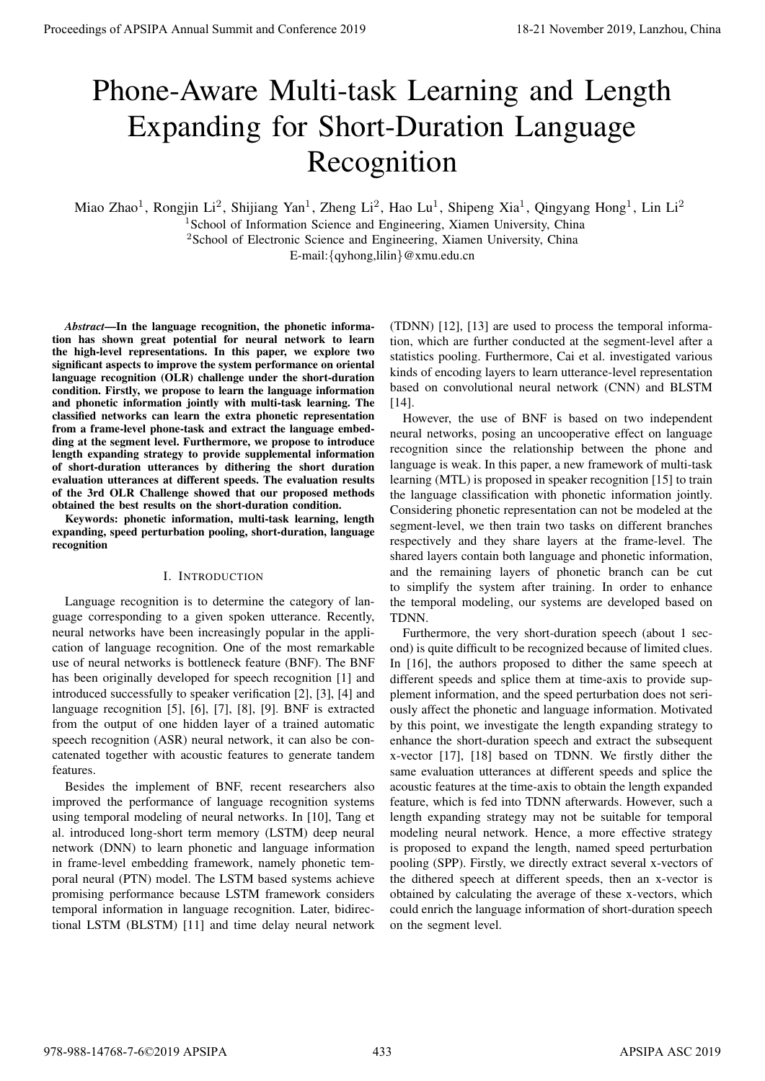# Phone-Aware Multi-task Learning and Length Expanding for Short-Duration Language Recognition

Miao Zhao<sup>1</sup>, Rongjin Li<sup>2</sup>, Shijiang Yan<sup>1</sup>, Zheng Li<sup>2</sup>, Hao Lu<sup>1</sup>, Shipeng Xia<sup>1</sup>, Qingyang Hong<sup>1</sup>, Lin Li<sup>2</sup>

<sup>1</sup>School of Information Science and Engineering, Xiamen University, China <sup>2</sup>School of Electronic Science and Engineering, Xiamen University, China

E-mail:{qyhong,lilin}@xmu.edu.cn

*Abstract*—In the language recognition, the phonetic information has shown great potential for neural network to learn the high-level representations. In this paper, we explore two significant aspects to improve the system performance on oriental language recognition (OLR) challenge under the short-duration condition. Firstly, we propose to learn the language information and phonetic information jointly with multi-task learning. The classified networks can learn the extra phonetic representation from a frame-level phone-task and extract the language embedding at the segment level. Furthermore, we propose to introduce length expanding strategy to provide supplemental information of short-duration utterances by dithering the short duration evaluation utterances at different speeds. The evaluation results of the 3rd OLR Challenge showed that our proposed methods obtained the best results on the short-duration condition.

Keywords: phonetic information, multi-task learning, length expanding, speed perturbation pooling, short-duration, language recognition

## I. INTRODUCTION

Language recognition is to determine the category of language corresponding to a given spoken utterance. Recently, neural networks have been increasingly popular in the application of language recognition. One of the most remarkable use of neural networks is bottleneck feature (BNF). The BNF has been originally developed for speech recognition [1] and introduced successfully to speaker verification [2], [3], [4] and language recognition [5], [6], [7], [8], [9]. BNF is extracted from the output of one hidden layer of a trained automatic speech recognition (ASR) neural network, it can also be concatenated together with acoustic features to generate tandem features.

Besides the implement of BNF, recent researchers also improved the performance of language recognition systems using temporal modeling of neural networks. In [10], Tang et al. introduced long-short term memory (LSTM) deep neural network (DNN) to learn phonetic and language information in frame-level embedding framework, namely phonetic temporal neural (PTN) model. The LSTM based systems achieve promising performance because LSTM framework considers temporal information in language recognition. Later, bidirectional LSTM (BLSTM) [11] and time delay neural network

(TDNN) [12], [13] are used to process the temporal information, which are further conducted at the segment-level after a statistics pooling. Furthermore, Cai et al. investigated various kinds of encoding layers to learn utterance-level representation based on convolutional neural network (CNN) and BLSTM [14].

However, the use of BNF is based on two independent neural networks, posing an uncooperative effect on language recognition since the relationship between the phone and language is weak. In this paper, a new framework of multi-task learning (MTL) is proposed in speaker recognition [15] to train the language classification with phonetic information jointly. Considering phonetic representation can not be modeled at the segment-level, we then train two tasks on different branches respectively and they share layers at the frame-level. The shared layers contain both language and phonetic information, and the remaining layers of phonetic branch can be cut to simplify the system after training. In order to enhance the temporal modeling, our systems are developed based on TDNN.

Furthermore, the very short-duration speech (about 1 second) is quite difficult to be recognized because of limited clues. In [16], the authors proposed to dither the same speech at different speeds and splice them at time-axis to provide supplement information, and the speed perturbation does not seriously affect the phonetic and language information. Motivated by this point, we investigate the length expanding strategy to enhance the short-duration speech and extract the subsequent x-vector [17], [18] based on TDNN. We firstly dither the same evaluation utterances at different speeds and splice the acoustic features at the time-axis to obtain the length expanded feature, which is fed into TDNN afterwards. However, such a length expanding strategy may not be suitable for temporal modeling neural network. Hence, a more effective strategy is proposed to expand the length, named speed perturbation pooling (SPP). Firstly, we directly extract several x-vectors of the dithered speech at different speeds, then an x-vector is obtained by calculating the average of these x-vectors, which could enrich the language information of short-duration speech on the segment level. **Proceedings of APSIPA Annual Summit at Conference 2019**<br> **Proceedings of APSIPA Annual Summit and Conference 2019**<br> **Proceeding for Short-Duration Language Recognition Conference 2022**<br>
Annual Summit and Conference 2022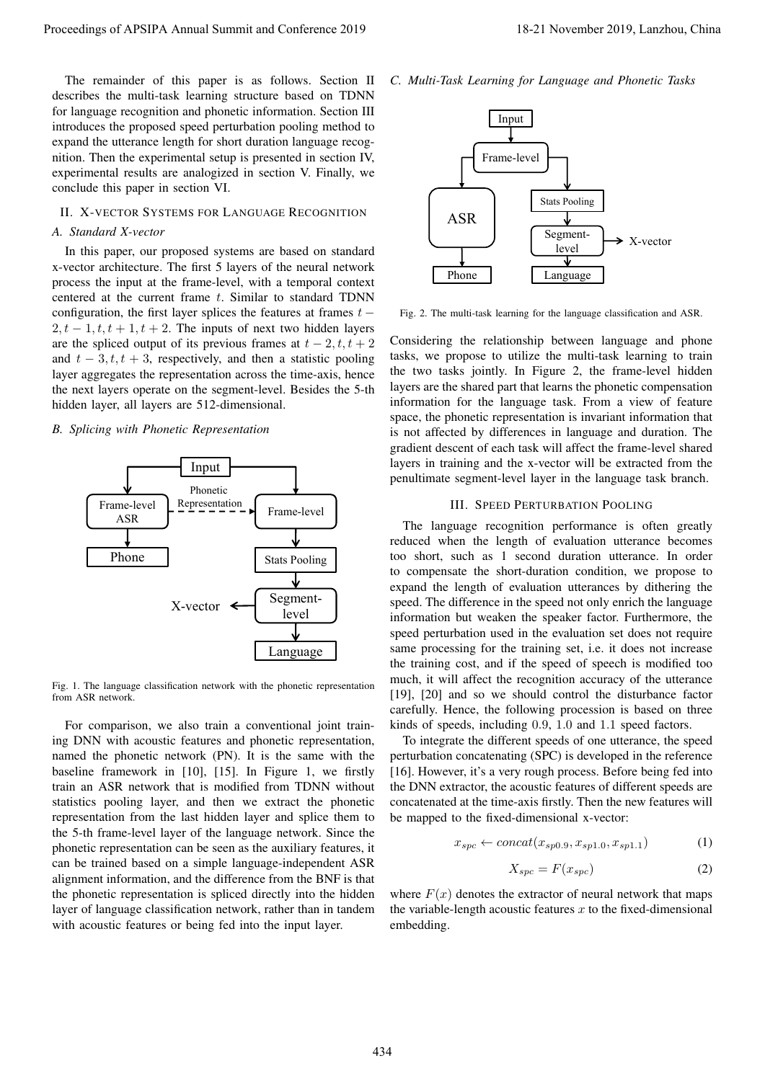The remainder of this paper is as follows. Section II describes the multi-task learning structure based on TDNN for language recognition and phonetic information. Section III introduces the proposed speed perturbation pooling method to expand the utterance length for short duration language recognition. Then the experimental setup is presented in section IV, experimental results are analogized in section V. Finally, we conclude this paper in section VI.

## II. X-VECTOR SYSTEMS FOR LANGUAGE RECOGNITION

## *A. Standard X-vector*

In this paper, our proposed systems are based on standard x-vector architecture. The first 5 layers of the neural network process the input at the frame-level, with a temporal context centered at the current frame  $t$ . Similar to standard TDNN configuration, the first layer splices the features at frames  $t 2, t - 1, t, t + 1, t + 2$ . The inputs of next two hidden layers are the spliced output of its previous frames at  $t - 2, t, t + 2$ and  $t - 3, t, t + 3$ , respectively, and then a statistic pooling layer aggregates the representation across the time-axis, hence the next layers operate on the segment-level. Besides the 5-th hidden layer, all layers are 512-dimensional.

## *B. Splicing with Phonetic Representation*



Fig. 1. The language classification network with the phonetic representation from ASR network.

For comparison, we also train a conventional joint training DNN with acoustic features and phonetic representation, named the phonetic network (PN). It is the same with the baseline framework in [10], [15]. In Figure 1, we firstly train an ASR network that is modified from TDNN without statistics pooling layer, and then we extract the phonetic representation from the last hidden layer and splice them to the 5-th frame-level layer of the language network. Since the phonetic representation can be seen as the auxiliary features, it can be trained based on a simple language-independent ASR alignment information, and the difference from the BNF is that the phonetic representation is spliced directly into the hidden layer of language classification network, rather than in tandem with acoustic features or being fed into the input layer.

*C. Multi-Task Learning for Language and Phonetic Tasks*



Fig. 2. The multi-task learning for the language classification and ASR.

Considering the relationship between language and phone tasks, we propose to utilize the multi-task learning to train the two tasks jointly. In Figure 2, the frame-level hidden layers are the shared part that learns the phonetic compensation information for the language task. From a view of feature space, the phonetic representation is invariant information that is not affected by differences in language and duration. The gradient descent of each task will affect the frame-level shared layers in training and the x-vector will be extracted from the penultimate segment-level layer in the language task branch.

#### III. SPEED PERTURBATION POOLING

The language recognition performance is often greatly reduced when the length of evaluation utterance becomes too short, such as 1 second duration utterance. In order to compensate the short-duration condition, we propose to expand the length of evaluation utterances by dithering the speed. The difference in the speed not only enrich the language information but weaken the speaker factor. Furthermore, the speed perturbation used in the evaluation set does not require same processing for the training set, i.e. it does not increase the training cost, and if the speed of speech is modified too much, it will affect the recognition accuracy of the utterance [19], [20] and so we should control the disturbance factor carefully. Hence, the following procession is based on three kinds of speeds, including 0.9, 1.0 and 1.1 speed factors. Proceedings of APSIPA Annual Summit and Conference 2019 11 Proceedings for example and the conference 2019 in the form of Conference 2019 in the conference 2019 in the conference 2019 in the conference 2019 in the confere

To integrate the different speeds of one utterance, the speed perturbation concatenating (SPC) is developed in the reference [16]. However, it's a very rough process. Before being fed into the DNN extractor, the acoustic features of different speeds are concatenated at the time-axis firstly. Then the new features will be mapped to the fixed-dimensional x-vector:

$$
x_{spc} \leftarrow concat(x_{sp0.9}, x_{sp1.0}, x_{sp1.1})
$$
 (1)

$$
X_{spc} = F(x_{spc})
$$
 (2)

where  $F(x)$  denotes the extractor of neural network that maps the variable-length acoustic features  $x$  to the fixed-dimensional embedding.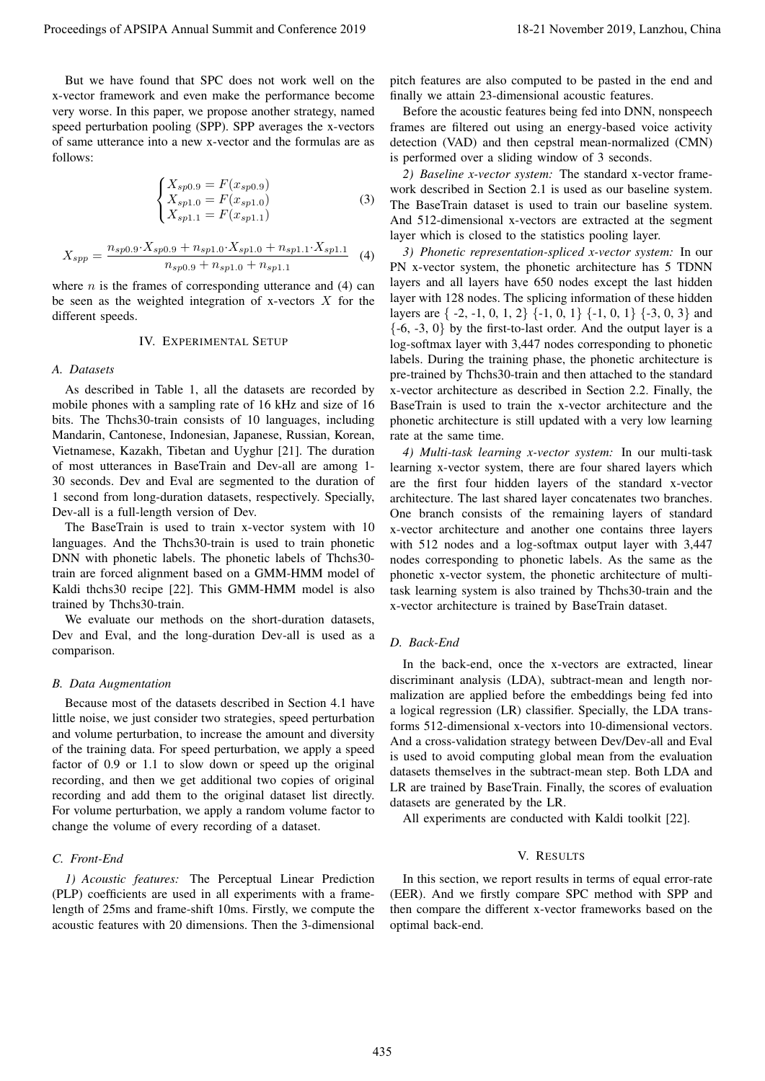But we have found that SPC does not work well on the x-vector framework and even make the performance become very worse. In this paper, we propose another strategy, named speed perturbation pooling (SPP). SPP averages the x-vectors of same utterance into a new x-vector and the formulas are as follows:

$$
\begin{cases}\nX_{sp0.9} = F(x_{sp0.9}) \\
X_{sp1.0} = F(x_{sp1.0}) \\
X_{sp1.1} = F(x_{sp1.1})\n\end{cases}
$$
\n(3)

$$
X_{spp} = \frac{n_{sp0.9} \cdot X_{sp0.9} + n_{sp1.0} \cdot X_{sp1.0} + n_{sp1.1} \cdot X_{sp1.1}}{n_{sp0.9} + n_{sp1.0} + n_{sp1.1}}
$$
 (4)

where  $n$  is the frames of corresponding utterance and (4) can be seen as the weighted integration of x-vectors  $X$  for the different speeds.

#### IV. EXPERIMENTAL SETUP

#### *A. Datasets*

As described in Table 1, all the datasets are recorded by mobile phones with a sampling rate of 16 kHz and size of 16 bits. The Thchs30-train consists of 10 languages, including Mandarin, Cantonese, Indonesian, Japanese, Russian, Korean, Vietnamese, Kazakh, Tibetan and Uyghur [21]. The duration of most utterances in BaseTrain and Dev-all are among 1- 30 seconds. Dev and Eval are segmented to the duration of 1 second from long-duration datasets, respectively. Specially, Dev-all is a full-length version of Dev.

The BaseTrain is used to train x-vector system with 10 languages. And the Thchs30-train is used to train phonetic DNN with phonetic labels. The phonetic labels of Thchs30 train are forced alignment based on a GMM-HMM model of Kaldi thchs30 recipe [22]. This GMM-HMM model is also trained by Thchs30-train.

We evaluate our methods on the short-duration datasets, Dev and Eval, and the long-duration Dev-all is used as a comparison.

#### *B. Data Augmentation*

Because most of the datasets described in Section 4.1 have little noise, we just consider two strategies, speed perturbation and volume perturbation, to increase the amount and diversity of the training data. For speed perturbation, we apply a speed factor of 0.9 or 1.1 to slow down or speed up the original recording, and then we get additional two copies of original recording and add them to the original dataset list directly. For volume perturbation, we apply a random volume factor to change the volume of every recording of a dataset.

## *C. Front-End*

*1) Acoustic features:* The Perceptual Linear Prediction (PLP) coefficients are used in all experiments with a framelength of 25ms and frame-shift 10ms. Firstly, we compute the acoustic features with 20 dimensions. Then the 3-dimensional pitch features are also computed to be pasted in the end and finally we attain 23-dimensional acoustic features.

Before the acoustic features being fed into DNN, nonspeech frames are filtered out using an energy-based voice activity detection (VAD) and then cepstral mean-normalized (CMN) is performed over a sliding window of 3 seconds.

*2) Baseline x-vector system:* The standard x-vector framework described in Section 2.1 is used as our baseline system. The BaseTrain dataset is used to train our baseline system. And 512-dimensional x-vectors are extracted at the segment layer which is closed to the statistics pooling layer.

*3) Phonetic representation-spliced x-vector system:* In our PN x-vector system, the phonetic architecture has 5 TDNN layers and all layers have 650 nodes except the last hidden layer with 128 nodes. The splicing information of these hidden layers are { -2, -1, 0, 1, 2} {-1, 0, 1} {-1, 0, 1} {-3, 0, 3} and  $\{-6, -3, 0\}$  by the first-to-last order. And the output layer is a log-softmax layer with 3,447 nodes corresponding to phonetic labels. During the training phase, the phonetic architecture is pre-trained by Thchs30-train and then attached to the standard x-vector architecture as described in Section 2.2. Finally, the BaseTrain is used to train the x-vector architecture and the phonetic architecture is still updated with a very low learning rate at the same time. Proceeding of APSIPA Annual Summit of Conference 2019<br>
New York Engende and Supplementary and Summit and Summit and Summit and Conference 2019, Langhost Conference 2019, Langhost Conference 2019, Langhost Conference 2019,

*4) Multi-task learning x-vector system:* In our multi-task learning x-vector system, there are four shared layers which are the first four hidden layers of the standard x-vector architecture. The last shared layer concatenates two branches. One branch consists of the remaining layers of standard x-vector architecture and another one contains three layers with 512 nodes and a log-softmax output layer with 3,447 nodes corresponding to phonetic labels. As the same as the phonetic x-vector system, the phonetic architecture of multitask learning system is also trained by Thchs30-train and the x-vector architecture is trained by BaseTrain dataset.

# *D. Back-End*

In the back-end, once the x-vectors are extracted, linear discriminant analysis (LDA), subtract-mean and length normalization are applied before the embeddings being fed into a logical regression (LR) classifier. Specially, the LDA transforms 512-dimensional x-vectors into 10-dimensional vectors. And a cross-validation strategy between Dev/Dev-all and Eval is used to avoid computing global mean from the evaluation datasets themselves in the subtract-mean step. Both LDA and LR are trained by BaseTrain. Finally, the scores of evaluation datasets are generated by the LR.

All experiments are conducted with Kaldi toolkit [22].

## V. RESULTS

In this section, we report results in terms of equal error-rate (EER). And we firstly compare SPC method with SPP and then compare the different x-vector frameworks based on the optimal back-end.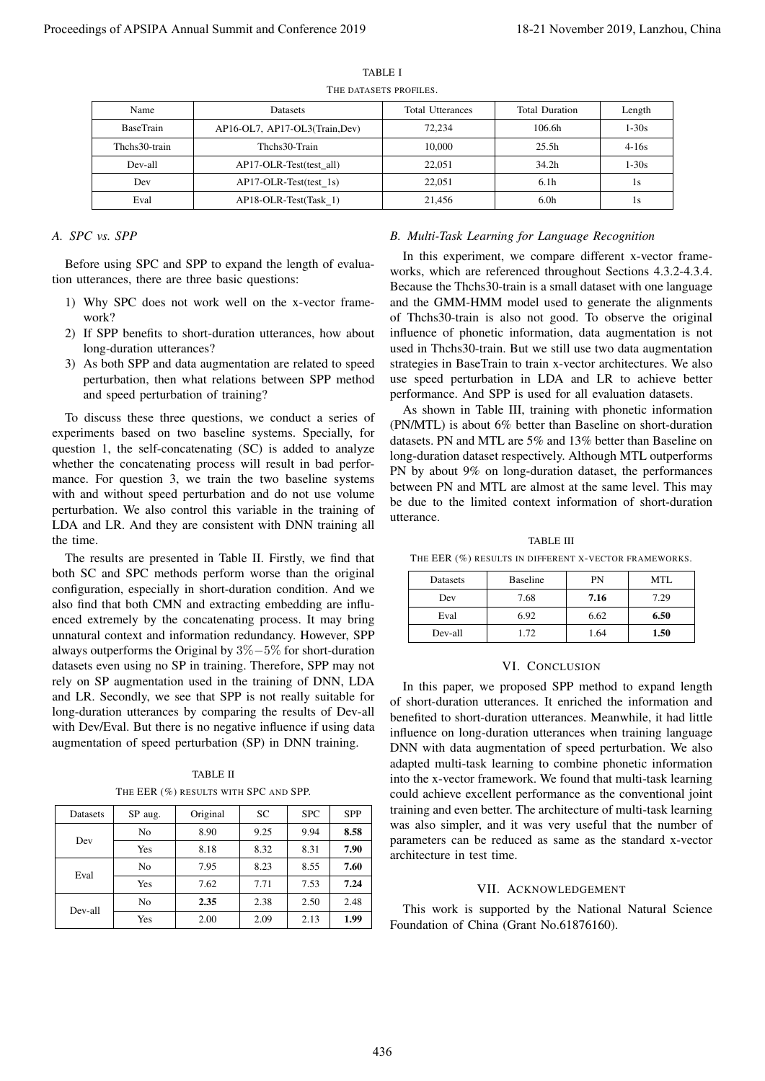| Name             | <b>Datasets</b>                | Total Utterances | <b>Total Duration</b> | Length    |
|------------------|--------------------------------|------------------|-----------------------|-----------|
| <b>BaseTrain</b> | AP16-OL7, AP17-OL3(Train, Dev) | 72.234           | 106.6h                | 1-30s     |
| Thehs30-train    | Thehs30-Train                  | 10,000           | 25.5h                 | $4 - 16s$ |
| Dev-all          | AP17-OLR-Test(test all)        | 22,051           | 34.2 <sub>h</sub>     | $1 - 30s$ |
| Dev              | $AP17-OLR-Test(test 1s)$       | 22,051           | 6.1 <sub>h</sub>      | 1s        |
| Eval             | AP18-OLR-Test(Task 1)          | 21.456           | 6.0 <sub>h</sub>      | 1s        |

TABLE I

## THE DATASETS PROFILES.

# *A. SPC vs. SPP*

Before using SPC and SPP to expand the length of evaluation utterances, there are three basic questions:

- 1) Why SPC does not work well on the x-vector framework?
- 2) If SPP benefits to short-duration utterances, how about long-duration utterances?
- 3) As both SPP and data augmentation are related to speed perturbation, then what relations between SPP method and speed perturbation of training?

To discuss these three questions, we conduct a series of experiments based on two baseline systems. Specially, for question 1, the self-concatenating (SC) is added to analyze whether the concatenating process will result in bad performance. For question 3, we train the two baseline systems with and without speed perturbation and do not use volume perturbation. We also control this variable in the training of LDA and LR. And they are consistent with DNN training all the time.

The results are presented in Table II. Firstly, we find that both SC and SPC methods perform worse than the original configuration, especially in short-duration condition. And we also find that both CMN and extracting embedding are influenced extremely by the concatenating process. It may bring unnatural context and information redundancy. However, SPP always outperforms the Original by 3%−5% for short-duration datasets even using no SP in training. Therefore, SPP may not rely on SP augmentation used in the training of DNN, LDA and LR. Secondly, we see that SPP is not really suitable for long-duration utterances by comparing the results of Dev-all with Dev/Eval. But there is no negative influence if using data augmentation of speed perturbation (SP) in DNN training. Proceedings of APSIPA Annual Summit and Conference 2019<br>
Proceedings of APSIPA Annual Summit and Conference 2019<br>
The Conference 2019 18-21 November 2019<br>
The Conference 2019 18-21 November 2019<br>
Proceedings of APSIPA Ann

TABLE II THE EER  $(\%)$  results with SPC and SPP.

| <b>Datasets</b> | SP aug.        | Original | SC   | <b>SPC</b> | <b>SPP</b> |
|-----------------|----------------|----------|------|------------|------------|
| Dev             | No             | 8.90     | 9.25 | 9.94       | 8.58       |
|                 | Yes            | 8.18     | 8.32 | 8.31       | 7.90       |
| Eval            | N <sub>0</sub> | 7.95     | 8.23 | 8.55       | 7.60       |
|                 | Yes            | 7.62     | 7.71 | 7.53       | 7.24       |
| Dev-all         | No             | 2.35     | 2.38 | 2.50       | 2.48       |
|                 | Yes            | 2.00     | 2.09 | 2.13       | 1.99       |

#### *B. Multi-Task Learning for Language Recognition*

In this experiment, we compare different x-vector frameworks, which are referenced throughout Sections 4.3.2-4.3.4. Because the Thchs30-train is a small dataset with one language and the GMM-HMM model used to generate the alignments of Thchs30-train is also not good. To observe the original influence of phonetic information, data augmentation is not used in Thchs30-train. But we still use two data augmentation strategies in BaseTrain to train x-vector architectures. We also use speed perturbation in LDA and LR to achieve better performance. And SPP is used for all evaluation datasets.

As shown in Table III, training with phonetic information (PN/MTL) is about 6% better than Baseline on short-duration datasets. PN and MTL are 5% and 13% better than Baseline on long-duration dataset respectively. Although MTL outperforms PN by about 9% on long-duration dataset, the performances between PN and MTL are almost at the same level. This may be due to the limited context information of short-duration utterance.

TABLE III THE EER (%) RESULTS IN DIFFERENT X-VECTOR FRAMEWORKS.

| Datasets | <b>Baseline</b> | PN   | MTL  |
|----------|-----------------|------|------|
| Dev      | 7.68            | 7.16 | 7.29 |
| Eval     | 6.92            | 6.62 | 6.50 |
| Dev-all  | 1.72            | 1.64 | 1.50 |

#### VI. CONCLUSION

In this paper, we proposed SPP method to expand length of short-duration utterances. It enriched the information and benefited to short-duration utterances. Meanwhile, it had little influence on long-duration utterances when training language DNN with data augmentation of speed perturbation. We also adapted multi-task learning to combine phonetic information into the x-vector framework. We found that multi-task learning could achieve excellent performance as the conventional joint training and even better. The architecture of multi-task learning was also simpler, and it was very useful that the number of parameters can be reduced as same as the standard x-vector architecture in test time.

#### VII. ACKNOWLEDGEMENT

This work is supported by the National Natural Science Foundation of China (Grant No.61876160).